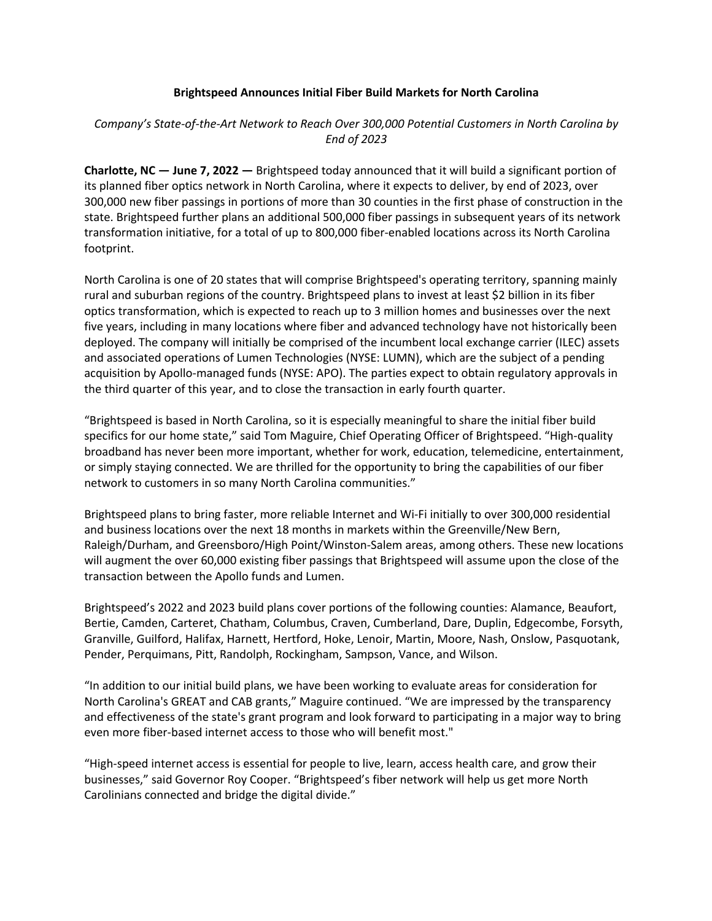## **Brightspeed Announces Initial Fiber Build Markets for North Carolina**

## *Company's State-of-the-Art Network to Reach Over 300,000 Potential Customers in North Carolina by End of 2023*

**Charlotte, NC — June 7, 2022 —** Brightspeed today announced that it will build a significant portion of its planned fiber optics network in North Carolina, where it expects to deliver, by end of 2023, over 300,000 new fiber passings in portions of more than 30 counties in the first phase of construction in the state. Brightspeed further plans an additional 500,000 fiber passings in subsequent years of its network transformation initiative, for a total of up to 800,000 fiber-enabled locations across its North Carolina footprint.

North Carolina is one of 20 states that will comprise Brightspeed's operating territory, spanning mainly rural and suburban regions of the country. Brightspeed plans to invest at least \$2 billion in its fiber optics transformation, which is expected to reach up to 3 million homes and businesses over the next five years, including in many locations where fiber and advanced technology have not historically been deployed. The company will initially be comprised of the incumbent local exchange carrier (ILEC) assets and associated operations of Lumen Technologies (NYSE: LUMN), which are the subject of a pending acquisition by Apollo-managed funds (NYSE: APO). The parties expect to obtain regulatory approvals in the third quarter of this year, and to close the transaction in early fourth quarter.

"Brightspeed is based in North Carolina, so it is especially meaningful to share the initial fiber build specifics for our home state," said Tom Maguire, Chief Operating Officer of Brightspeed. "High-quality broadband has never been more important, whether for work, education, telemedicine, entertainment, or simply staying connected. We are thrilled for the opportunity to bring the capabilities of our fiber network to customers in so many North Carolina communities."

Brightspeed plans to bring faster, more reliable Internet and Wi-Fi initially to over 300,000 residential and business locations over the next 18 months in markets within the Greenville/New Bern, Raleigh/Durham, and Greensboro/High Point/Winston-Salem areas, among others. These new locations will augment the over 60,000 existing fiber passings that Brightspeed will assume upon the close of the transaction between the Apollo funds and Lumen.

Brightspeed's 2022 and 2023 build plans cover portions of the following counties: Alamance, Beaufort, Bertie, Camden, Carteret, Chatham, Columbus, Craven, Cumberland, Dare, Duplin, Edgecombe, Forsyth, Granville, Guilford, Halifax, Harnett, Hertford, Hoke, Lenoir, Martin, Moore, Nash, Onslow, Pasquotank, Pender, Perquimans, Pitt, Randolph, Rockingham, Sampson, Vance, and Wilson.

"In addition to our initial build plans, we have been working to evaluate areas for consideration for North Carolina's GREAT and CAB grants," Maguire continued. "We are impressed by the transparency and effectiveness of the state's grant program and look forward to participating in a major way to bring even more fiber-based internet access to those who will benefit most."

"High-speed internet access is essential for people to live, learn, access health care, and grow their businesses," said Governor Roy Cooper. "Brightspeed's fiber network will help us get more North Carolinians connected and bridge the digital divide."